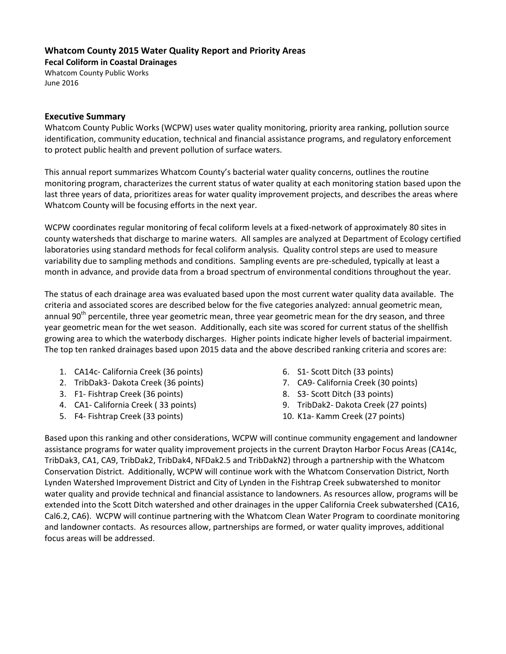## **Whatcom County 2015 Water Quality Report and Priority Areas**

**Fecal Coliform in Coastal Drainages**

Whatcom County Public Works June 2016

#### **Executive Summary**

Whatcom County Public Works (WCPW) uses water quality monitoring, priority area ranking, pollution source identification, community education, technical and financial assistance programs, and regulatory enforcement to protect public health and prevent pollution of surface waters.

This annual report summarizes Whatcom County's bacterial water quality concerns, outlines the routine monitoring program, characterizes the current status of water quality at each monitoring station based upon the last three years of data, prioritizes areas for water quality improvement projects, and describes the areas where Whatcom County will be focusing efforts in the next year.

WCPW coordinates regular monitoring of fecal coliform levels at a fixed-network of approximately 80 sites in county watersheds that discharge to marine waters. All samples are analyzed at Department of Ecology certified laboratories using standard methods for fecal coliform analysis. Quality control steps are used to measure variability due to sampling methods and conditions. Sampling events are pre-scheduled, typically at least a month in advance, and provide data from a broad spectrum of environmental conditions throughout the year.

The status of each drainage area was evaluated based upon the most current water quality data available. The criteria and associated scores are described below for the five categories analyzed: annual geometric mean, annual 90<sup>th</sup> percentile, three year geometric mean, three year geometric mean for the dry season, and three year geometric mean for the wet season. Additionally, each site was scored for current status of the shellfish growing area to which the waterbody discharges. Higher points indicate higher levels of bacterial impairment. The top ten ranked drainages based upon 2015 data and the above described ranking criteria and scores are:

- 1. CA14c- California Creek (36 points)
- 2. TribDak3- Dakota Creek (36 points)
- 3. F1- Fishtrap Creek (36 points)
- 4. CA1- California Creek ( 33 points)
- 5. F4- Fishtrap Creek (33 points)
- 6. S1- Scott Ditch (33 points)
- 7. CA9- California Creek (30 points)
- 8. S3- Scott Ditch (33 points)
- 9. TribDak2- Dakota Creek (27 points)
- 10. K1a- Kamm Creek (27 points)

Based upon this ranking and other considerations, WCPW will continue community engagement and landowner assistance programs for water quality improvement projects in the current Drayton Harbor Focus Areas (CA14c, TribDak3, CA1, CA9, TribDak2, TribDak4, NFDak2.5 and TribDakN2) through a partnership with the Whatcom Conservation District. Additionally, WCPW will continue work with the Whatcom Conservation District, North Lynden Watershed Improvement District and City of Lynden in the Fishtrap Creek subwatershed to monitor water quality and provide technical and financial assistance to landowners. As resources allow, programs will be extended into the Scott Ditch watershed and other drainages in the upper California Creek subwatershed (CA16, Cal6.2, CA6). WCPW will continue partnering with the Whatcom Clean Water Program to coordinate monitoring and landowner contacts. As resources allow, partnerships are formed, or water quality improves, additional focus areas will be addressed.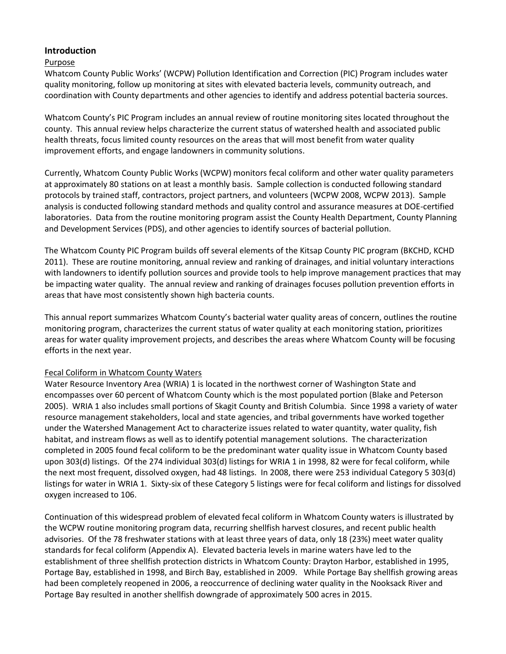## **Introduction**

### Purpose

Whatcom County Public Works' (WCPW) Pollution Identification and Correction (PIC) Program includes water quality monitoring, follow up monitoring at sites with elevated bacteria levels, community outreach, and coordination with County departments and other agencies to identify and address potential bacteria sources.

Whatcom County's PIC Program includes an annual review of routine monitoring sites located throughout the county. This annual review helps characterize the current status of watershed health and associated public health threats, focus limited county resources on the areas that will most benefit from water quality improvement efforts, and engage landowners in community solutions.

Currently, Whatcom County Public Works (WCPW) monitors fecal coliform and other water quality parameters at approximately 80 stations on at least a monthly basis. Sample collection is conducted following standard protocols by trained staff, contractors, project partners, and volunteers (WCPW 2008, WCPW 2013). Sample analysis is conducted following standard methods and quality control and assurance measures at DOE-certified laboratories. Data from the routine monitoring program assist the County Health Department, County Planning and Development Services (PDS), and other agencies to identify sources of bacterial pollution.

The Whatcom County PIC Program builds off several elements of the Kitsap County PIC program (BKCHD, KCHD 2011). These are routine monitoring, annual review and ranking of drainages, and initial voluntary interactions with landowners to identify pollution sources and provide tools to help improve management practices that may be impacting water quality. The annual review and ranking of drainages focuses pollution prevention efforts in areas that have most consistently shown high bacteria counts.

This annual report summarizes Whatcom County's bacterial water quality areas of concern, outlines the routine monitoring program, characterizes the current status of water quality at each monitoring station, prioritizes areas for water quality improvement projects, and describes the areas where Whatcom County will be focusing efforts in the next year.

#### Fecal Coliform in Whatcom County Waters

Water Resource Inventory Area (WRIA) 1 is located in the northwest corner of Washington State and encompasses over 60 percent of Whatcom County which is the most populated portion (Blake and Peterson 2005). WRIA 1 also includes small portions of Skagit County and British Columbia. Since 1998 a variety of water resource management stakeholders, local and state agencies, and tribal governments have worked together under the Watershed Management Act to characterize issues related to water quantity, water quality, fish habitat, and instream flows as well as to identify potential management solutions. The characterization completed in 2005 found fecal coliform to be the predominant water quality issue in Whatcom County based upon 303(d) listings. Of the 274 individual 303(d) listings for WRIA 1 in 1998, 82 were for fecal coliform, while the next most frequent, dissolved oxygen, had 48 listings. In 2008, there were 253 individual Category 5 303(d) listings for water in WRIA 1. Sixty-six of these Category 5 listings were for fecal coliform and listings for dissolved oxygen increased to 106.

Continuation of this widespread problem of elevated fecal coliform in Whatcom County waters is illustrated by the WCPW routine monitoring program data, recurring shellfish harvest closures, and recent public health advisories. Of the 78 freshwater stations with at least three years of data, only 18 (23%) meet water quality standards for fecal coliform (Appendix A). Elevated bacteria levels in marine waters have led to the establishment of three shellfish protection districts in Whatcom County: Drayton Harbor, established in 1995, Portage Bay, established in 1998, and Birch Bay, established in 2009. While Portage Bay shellfish growing areas had been completely reopened in 2006, a reoccurrence of declining water quality in the Nooksack River and Portage Bay resulted in another shellfish downgrade of approximately 500 acres in 2015.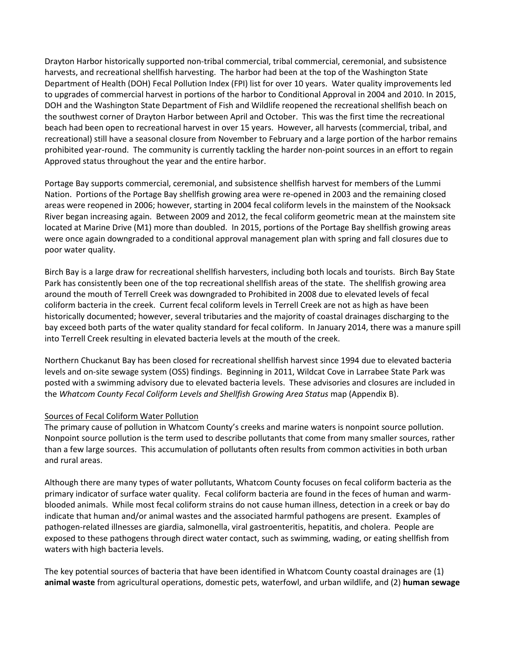Drayton Harbor historically supported non-tribal commercial, tribal commercial, ceremonial, and subsistence harvests, and recreational shellfish harvesting. The harbor had been at the top of the Washington State Department of Health (DOH) Fecal Pollution Index (FPI) list for over 10 years. Water quality improvements led to upgrades of commercial harvest in portions of the harbor to Conditional Approval in 2004 and 2010. In 2015, DOH and the Washington State Department of Fish and Wildlife reopened the recreational shellfish beach on the southwest corner of Drayton Harbor between April and October. This was the first time the recreational beach had been open to recreational harvest in over 15 years. However, all harvests (commercial, tribal, and recreational) still have a seasonal closure from November to February and a large portion of the harbor remains prohibited year-round. The community is currently tackling the harder non-point sources in an effort to regain Approved status throughout the year and the entire harbor.

Portage Bay supports commercial, ceremonial, and subsistence shellfish harvest for members of the Lummi Nation. Portions of the Portage Bay shellfish growing area were re-opened in 2003 and the remaining closed areas were reopened in 2006; however, starting in 2004 fecal coliform levels in the mainstem of the Nooksack River began increasing again. Between 2009 and 2012, the fecal coliform geometric mean at the mainstem site located at Marine Drive (M1) more than doubled. In 2015, portions of the Portage Bay shellfish growing areas were once again downgraded to a conditional approval management plan with spring and fall closures due to poor water quality.

Birch Bay is a large draw for recreational shellfish harvesters, including both locals and tourists. Birch Bay State Park has consistently been one of the top recreational shellfish areas of the state. The shellfish growing area around the mouth of Terrell Creek was downgraded to Prohibited in 2008 due to elevated levels of fecal coliform bacteria in the creek. Current fecal coliform levels in Terrell Creek are not as high as have been historically documented; however, several tributaries and the majority of coastal drainages discharging to the bay exceed both parts of the water quality standard for fecal coliform. In January 2014, there was a manure spill into Terrell Creek resulting in elevated bacteria levels at the mouth of the creek.

Northern Chuckanut Bay has been closed for recreational shellfish harvest since 1994 due to elevated bacteria levels and on-site sewage system (OSS) findings. Beginning in 2011, Wildcat Cove in Larrabee State Park was posted with a swimming advisory due to elevated bacteria levels. These advisories and closures are included in the *Whatcom County Fecal Coliform Levels and Shellfish Growing Area Status* map (Appendix B).

#### Sources of Fecal Coliform Water Pollution

The primary cause of pollution in Whatcom County's creeks and marine waters is nonpoint source pollution. Nonpoint source pollution is the term used to describe pollutants that come from many smaller sources, rather than a few large sources. This accumulation of pollutants often results from common activities in both urban and rural areas.

Although there are many types of water pollutants, Whatcom County focuses on fecal coliform bacteria as the primary indicator of surface water quality. Fecal coliform bacteria are found in the feces of human and warmblooded animals. While most fecal coliform strains do not cause human illness, detection in a creek or bay do indicate that human and/or animal wastes and the associated harmful pathogens are present. Examples of pathogen-related illnesses are giardia, salmonella, viral gastroenteritis, hepatitis, and cholera. People are exposed to these pathogens through direct water contact, such as swimming, wading, or eating shellfish from waters with high bacteria levels.

The key potential sources of bacteria that have been identified in Whatcom County coastal drainages are (1) **animal waste** from agricultural operations, domestic pets, waterfowl, and urban wildlife, and (2) **human sewage**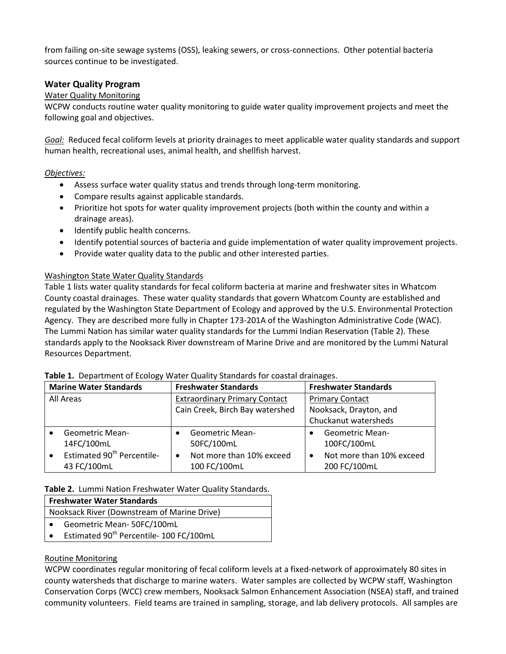from failing on-site sewage systems (OSS), leaking sewers, or cross-connections. Other potential bacteria sources continue to be investigated.

## **Water Quality Program**

### Water Quality Monitoring

WCPW conducts routine water quality monitoring to guide water quality improvement projects and meet the following goal and objectives.

*Goal:* Reduced fecal coliform levels at priority drainages to meet applicable water quality standards and support human health, recreational uses, animal health, and shellfish harvest.

### *Objectives:*

- Assess surface water quality status and trends through long-term monitoring.
- Compare results against applicable standards.
- Prioritize hot spots for water quality improvement projects (both within the county and within a drainage areas).
- Identify public health concerns.
- Identify potential sources of bacteria and guide implementation of water quality improvement projects.
- Provide water quality data to the public and other interested parties.

## Washington State Water Quality Standards

Table 1 lists water quality standards for fecal coliform bacteria at marine and freshwater sites in Whatcom County coastal drainages. These water quality standards that govern Whatcom County are established and regulated by the Washington State Department of Ecology and approved by the U.S. Environmental Protection Agency. They are described more fully in Chapter 173-201A of the Washington Administrative Code (WAC). The Lummi Nation has similar water quality standards for the Lummi Indian Reservation (Table 2). These standards apply to the Nooksack River downstream of Marine Drive and are monitored by the Lummi Natural Resources Department.

| <b>Marine Water Standards</b> |                                        |                                      | <b>Freshwater Standards</b>     | <b>Freshwater Standards</b> |                          |  |
|-------------------------------|----------------------------------------|--------------------------------------|---------------------------------|-----------------------------|--------------------------|--|
| All Areas                     |                                        | <b>Extraordinary Primary Contact</b> |                                 |                             | <b>Primary Contact</b>   |  |
|                               |                                        |                                      | Cain Creek, Birch Bay watershed |                             | Nooksack, Drayton, and   |  |
|                               |                                        |                                      |                                 |                             | Chuckanut watersheds     |  |
|                               | <b>Geometric Mean-</b>                 |                                      | <b>Geometric Mean-</b>          | $\bullet$                   | <b>Geometric Mean-</b>   |  |
|                               | 14FC/100mL                             |                                      | 50FC/100mL                      |                             | 100FC/100mL              |  |
|                               | Estimated 90 <sup>th</sup> Percentile- |                                      | Not more than 10% exceed        | $\bullet$                   | Not more than 10% exceed |  |
|                               | 43 FC/100mL                            |                                      | 100 FC/100mL                    |                             | 200 FC/100mL             |  |

#### **Table 1.** Department of Ecology Water Quality Standards for coastal drainages.

#### **Table 2.** Lummi Nation Freshwater Water Quality Standards.

| <b>Freshwater Water Standards</b> |                                                     |  |  |  |  |  |  |
|-----------------------------------|-----------------------------------------------------|--|--|--|--|--|--|
|                                   | Nooksack River (Downstream of Marine Drive)         |  |  |  |  |  |  |
|                                   | Geometric Mean-50FC/100mL                           |  |  |  |  |  |  |
| $\bullet$                         | Estimated 90 <sup>th</sup> Percentile- 100 FC/100mL |  |  |  |  |  |  |

## Routine Monitoring

WCPW coordinates regular monitoring of fecal coliform levels at a fixed-network of approximately 80 sites in county watersheds that discharge to marine waters. Water samples are collected by WCPW staff, Washington Conservation Corps (WCC) crew members, Nooksack Salmon Enhancement Association (NSEA) staff, and trained community volunteers. Field teams are trained in sampling, storage, and lab delivery protocols. All samples are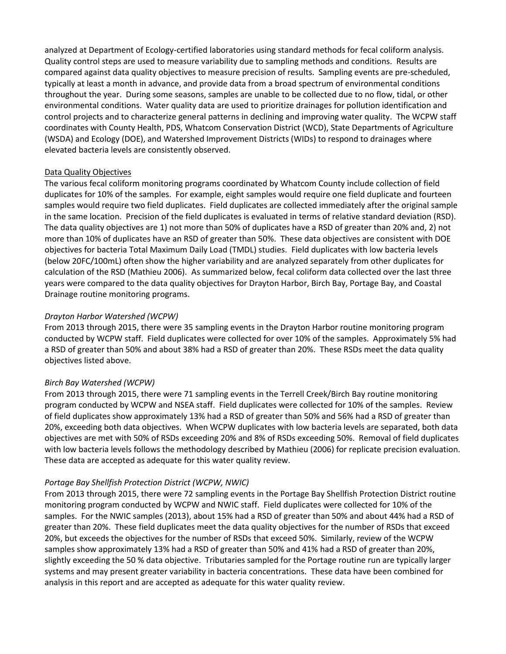analyzed at Department of Ecology-certified laboratories using standard methods for fecal coliform analysis. Quality control steps are used to measure variability due to sampling methods and conditions. Results are compared against data quality objectives to measure precision of results. Sampling events are pre-scheduled, typically at least a month in advance, and provide data from a broad spectrum of environmental conditions throughout the year. During some seasons, samples are unable to be collected due to no flow, tidal, or other environmental conditions. Water quality data are used to prioritize drainages for pollution identification and control projects and to characterize general patterns in declining and improving water quality. The WCPW staff coordinates with County Health, PDS, Whatcom Conservation District (WCD), State Departments of Agriculture (WSDA) and Ecology (DOE), and Watershed Improvement Districts (WIDs) to respond to drainages where elevated bacteria levels are consistently observed.

#### Data Quality Objectives

The various fecal coliform monitoring programs coordinated by Whatcom County include collection of field duplicates for 10% of the samples. For example, eight samples would require one field duplicate and fourteen samples would require two field duplicates. Field duplicates are collected immediately after the original sample in the same location. Precision of the field duplicates is evaluated in terms of relative standard deviation (RSD). The data quality objectives are 1) not more than 50% of duplicates have a RSD of greater than 20% and, 2) not more than 10% of duplicates have an RSD of greater than 50%. These data objectives are consistent with DOE objectives for bacteria Total Maximum Daily Load (TMDL) studies. Field duplicates with low bacteria levels (below 20FC/100mL) often show the higher variability and are analyzed separately from other duplicates for calculation of the RSD (Mathieu 2006). As summarized below, fecal coliform data collected over the last three years were compared to the data quality objectives for Drayton Harbor, Birch Bay, Portage Bay, and Coastal Drainage routine monitoring programs.

### *Drayton Harbor Watershed (WCPW)*

From 2013 through 2015, there were 35 sampling events in the Drayton Harbor routine monitoring program conducted by WCPW staff. Field duplicates were collected for over 10% of the samples. Approximately 5% had a RSD of greater than 50% and about 38% had a RSD of greater than 20%. These RSDs meet the data quality objectives listed above.

#### *Birch Bay Watershed (WCPW)*

From 2013 through 2015, there were 71 sampling events in the Terrell Creek/Birch Bay routine monitoring program conducted by WCPW and NSEA staff. Field duplicates were collected for 10% of the samples. Review of field duplicates show approximately 13% had a RSD of greater than 50% and 56% had a RSD of greater than 20%, exceeding both data objectives. When WCPW duplicates with low bacteria levels are separated, both data objectives are met with 50% of RSDs exceeding 20% and 8% of RSDs exceeding 50%. Removal of field duplicates with low bacteria levels follows the methodology described by Mathieu (2006) for replicate precision evaluation. These data are accepted as adequate for this water quality review.

#### *Portage Bay Shellfish Protection District (WCPW, NWIC)*

From 2013 through 2015, there were 72 sampling events in the Portage Bay Shellfish Protection District routine monitoring program conducted by WCPW and NWIC staff. Field duplicates were collected for 10% of the samples. For the NWIC samples (2013), about 15% had a RSD of greater than 50% and about 44% had a RSD of greater than 20%. These field duplicates meet the data quality objectives for the number of RSDs that exceed 20%, but exceeds the objectives for the number of RSDs that exceed 50%. Similarly, review of the WCPW samples show approximately 13% had a RSD of greater than 50% and 41% had a RSD of greater than 20%, slightly exceeding the 50 % data objective. Tributaries sampled for the Portage routine run are typically larger systems and may present greater variability in bacteria concentrations. These data have been combined for analysis in this report and are accepted as adequate for this water quality review.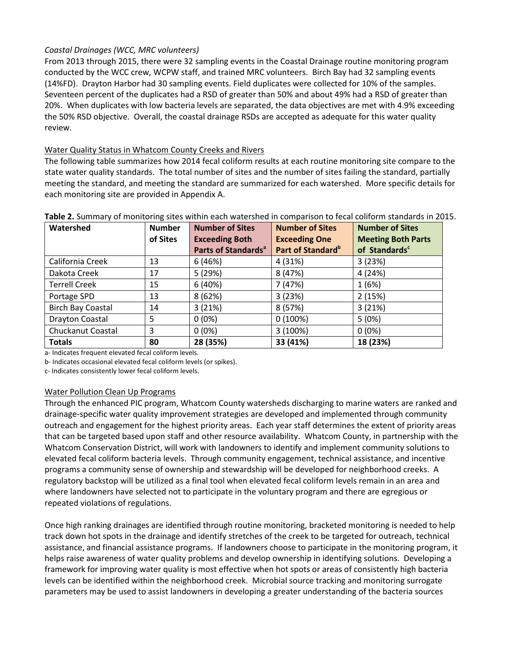## *Coastal Drainages (WCC, MRC volunteers)*

From 2013 through 2015, there were 32 sampling events in the Coastal Drainage routine monitoring program conducted by the WCC crew, WCPW staff, and trained MRC volunteers. Birch Bay had 32 sampling events (14%FD). Drayton Harbor had 30 sampling events. Field duplicates were collected for 10% of the samples. Seventeen percent of the duplicates had a RSD of greater than 50% and about 49% had a RSD of greater than 20%. When duplicates with low bacteria levels are separated, the data objectives are met with 4.9% exceeding the 50% RSD objective. Overall, the coastal drainage RSDs are accepted as adequate for this water quality review.

### Water Quality Status in Whatcom County Creeks and Rivers

The following table summarizes how 2014 fecal coliform results at each routine monitoring site compare to the state water quality standards. The total number of sites and the number of sites failing the standard, partially meeting the standard, and meeting the standard are summarized for each watershed. More specific details for each monitoring site are provided in Appendix A.

| Watershed                | <b>Number</b> | <b>Number of Sites</b>          | <b>Number of Sites</b>        | <b>Number of Sites</b>    |
|--------------------------|---------------|---------------------------------|-------------------------------|---------------------------|
|                          | of Sites      | <b>Exceeding Both</b>           | <b>Exceeding One</b>          | <b>Meeting Both Parts</b> |
|                          |               | Parts of Standards <sup>a</sup> | Part of Standard <sup>b</sup> | of Standards <sup>c</sup> |
| California Creek         | 13            | 6 (46%)                         | 4 (31%)                       | 3(23%)                    |
| Dakota Creek             | 17            | 5 (29%)                         | 8 (47%)                       | 4 (24%)                   |
| <b>Terrell Creek</b>     | 15            | 6(40%)                          | 7 (47%)                       | 1(6%)                     |
| Portage SPD              | 13            | 8(62%)                          | 3(23%)                        | 2(15%)                    |
| <b>Birch Bay Coastal</b> | 14            | 3(21%)                          | 8 (57%)                       | 3(21%)                    |
| Drayton Coastal          | 5             | $0(0\%)$                        | 0(100%)                       | 5(0%)                     |
| Chuckanut Coastal        | 3             | $0(0\%)$                        | 3(100%)                       | $0(0\%)$                  |
| <b>Totals</b>            | 80            | 28 (35%)                        | 33 (41%)                      | 18 (23%)                  |

#### **Table 2.** Summary of monitoring sites within each watershed in comparison to fecal coliform standards in 2015.

a- Indicates frequent elevated fecal coliform levels.

b- Indicates occasional elevated fecal coliform levels (or spikes).

c- Indicates consistently lower fecal coliform levels.

#### Water Pollution Clean Up Programs

Through the enhanced PIC program, Whatcom County watersheds discharging to marine waters are ranked and drainage-specific water quality improvement strategies are developed and implemented through community outreach and engagement for the highest priority areas. Each year staff determines the extent of priority areas that can be targeted based upon staff and other resource availability. Whatcom County, in partnership with the Whatcom Conservation District, will work with landowners to identify and implement community solutions to elevated fecal coliform bacteria levels. Through community engagement, technical assistance, and incentive programs a community sense of ownership and stewardship will be developed for neighborhood creeks. A regulatory backstop will be utilized as a final tool when elevated fecal coliform levels remain in an area and where landowners have selected not to participate in the voluntary program and there are egregious or repeated violations of regulations.

Once high ranking drainages are identified through routine monitoring, bracketed monitoring is needed to help track down hot spots in the drainage and identify stretches of the creek to be targeted for outreach, technical assistance, and financial assistance programs. If landowners choose to participate in the monitoring program, it helps raise awareness of water quality problems and develop ownership in identifying solutions. Developing a framework for improving water quality is most effective when hot spots or areas of consistently high bacteria levels can be identified within the neighborhood creek. Microbial source tracking and monitoring surrogate parameters may be used to assist landowners in developing a greater understanding of the bacteria sources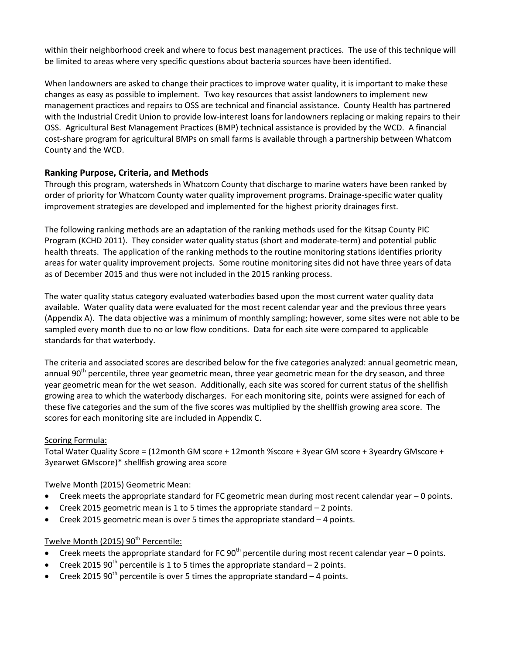within their neighborhood creek and where to focus best management practices. The use of this technique will be limited to areas where very specific questions about bacteria sources have been identified.

When landowners are asked to change their practices to improve water quality, it is important to make these changes as easy as possible to implement. Two key resources that assist landowners to implement new management practices and repairs to OSS are technical and financial assistance. County Health has partnered with the Industrial Credit Union to provide low-interest loans for landowners replacing or making repairs to their OSS. Agricultural Best Management Practices (BMP) technical assistance is provided by the WCD. A financial cost-share program for agricultural BMPs on small farms is available through a partnership between Whatcom County and the WCD.

## **Ranking Purpose, Criteria, and Methods**

Through this program, watersheds in Whatcom County that discharge to marine waters have been ranked by order of priority for Whatcom County water quality improvement programs. Drainage-specific water quality improvement strategies are developed and implemented for the highest priority drainages first.

The following ranking methods are an adaptation of the ranking methods used for the Kitsap County PIC Program (KCHD 2011). They consider water quality status (short and moderate-term) and potential public health threats. The application of the ranking methods to the routine monitoring stations identifies priority areas for water quality improvement projects. Some routine monitoring sites did not have three years of data as of December 2015 and thus were not included in the 2015 ranking process.

The water quality status category evaluated waterbodies based upon the most current water quality data available. Water quality data were evaluated for the most recent calendar year and the previous three years (Appendix A). The data objective was a minimum of monthly sampling; however, some sites were not able to be sampled every month due to no or low flow conditions. Data for each site were compared to applicable standards for that waterbody.

The criteria and associated scores are described below for the five categories analyzed: annual geometric mean, annual 90<sup>th</sup> percentile, three year geometric mean, three year geometric mean for the dry season, and three year geometric mean for the wet season. Additionally, each site was scored for current status of the shellfish growing area to which the waterbody discharges. For each monitoring site, points were assigned for each of these five categories and the sum of the five scores was multiplied by the shellfish growing area score. The scores for each monitoring site are included in Appendix C.

## Scoring Formula:

Total Water Quality Score = (12month GM score + 12month %score + 3year GM score + 3yeardry GMscore + 3yearwet GMscore)\* shellfish growing area score

## Twelve Month (2015) Geometric Mean:

- Creek meets the appropriate standard for FC geometric mean during most recent calendar year 0 points.
- Creek 2015 geometric mean is 1 to 5 times the appropriate standard 2 points.
- Creek 2015 geometric mean is over 5 times the appropriate standard 4 points.

## Twelve Month (2015) 90<sup>th</sup> Percentile:

- Creek meets the appropriate standard for FC 90<sup>th</sup> percentile during most recent calendar year  $-$  0 points.
- Creek 2015 90<sup>th</sup> percentile is 1 to 5 times the appropriate standard  $-$  2 points.
- Creek 2015  $90<sup>th</sup>$  percentile is over 5 times the appropriate standard 4 points.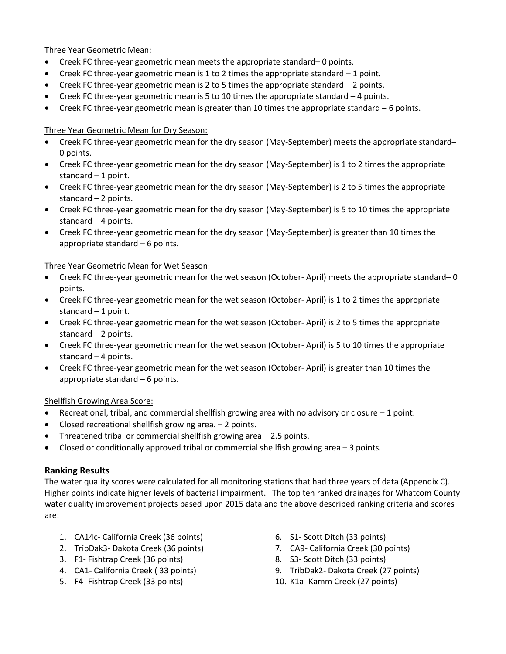Three Year Geometric Mean:

- Creek FC three-year geometric mean meets the appropriate standard– 0 points.
- Creek FC three-year geometric mean is 1 to 2 times the appropriate standard  $-1$  point.
- Creek FC three-year geometric mean is 2 to 5 times the appropriate standard 2 points.
- $\bullet$  Creek FC three-year geometric mean is 5 to 10 times the appropriate standard  $-4$  points.
- Creek FC three-year geometric mean is greater than 10 times the appropriate standard 6 points.

#### Three Year Geometric Mean for Dry Season:

- Creek FC three-year geometric mean for the dry season (May-September) meets the appropriate standard– 0 points.
- Creek FC three-year geometric mean for the dry season (May-September) is 1 to 2 times the appropriate standard  $-1$  point.
- Creek FC three-year geometric mean for the dry season (May-September) is 2 to 5 times the appropriate standard – 2 points.
- Creek FC three-year geometric mean for the dry season (May-September) is 5 to 10 times the appropriate standard – 4 points.
- Creek FC three-year geometric mean for the dry season (May-September) is greater than 10 times the appropriate standard – 6 points.

Three Year Geometric Mean for Wet Season:

- Creek FC three-year geometric mean for the wet season (October- April) meets the appropriate standard– 0 points.
- Creek FC three-year geometric mean for the wet season (October- April) is 1 to 2 times the appropriate standard  $-1$  point.
- Creek FC three-year geometric mean for the wet season (October- April) is 2 to 5 times the appropriate standard  $-2$  points.
- Creek FC three-year geometric mean for the wet season (October- April) is 5 to 10 times the appropriate standard – 4 points.
- Creek FC three-year geometric mean for the wet season (October- April) is greater than 10 times the appropriate standard – 6 points.

Shellfish Growing Area Score:

- Recreational, tribal, and commercial shellfish growing area with no advisory or closure 1 point.
- Closed recreational shellfish growing area. 2 points.
- Threatened tribal or commercial shellfish growing area 2.5 points.
- Closed or conditionally approved tribal or commercial shellfish growing area 3 points.

## **Ranking Results**

The water quality scores were calculated for all monitoring stations that had three years of data (Appendix C). Higher points indicate higher levels of bacterial impairment. The top ten ranked drainages for Whatcom County water quality improvement projects based upon 2015 data and the above described ranking criteria and scores are:

- 1. CA14c- California Creek (36 points)
- 2. TribDak3- Dakota Creek (36 points)
- 3. F1- Fishtrap Creek (36 points)
- 4. CA1- California Creek ( 33 points)
- 5. F4- Fishtrap Creek (33 points)
- 6. S1- Scott Ditch (33 points)
- 7. CA9- California Creek (30 points)
- 8. S3- Scott Ditch (33 points)
- 9. TribDak2- Dakota Creek (27 points)
- 10. K1a- Kamm Creek (27 points)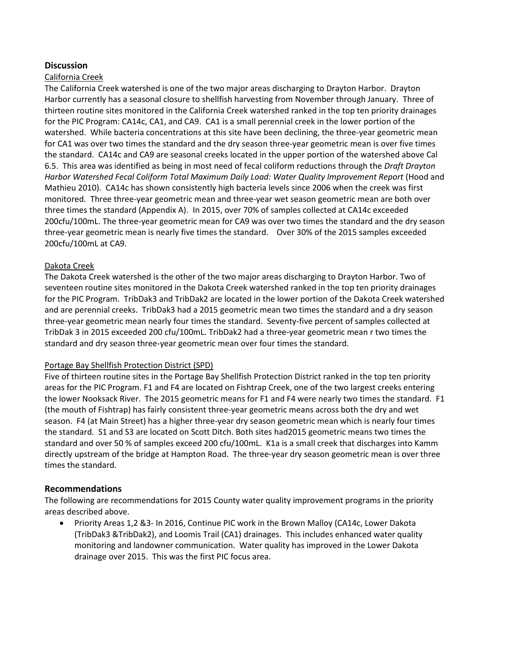### **Discussion**

#### California Creek

The California Creek watershed is one of the two major areas discharging to Drayton Harbor. Drayton Harbor currently has a seasonal closure to shellfish harvesting from November through January. Three of thirteen routine sites monitored in the California Creek watershed ranked in the top ten priority drainages for the PIC Program: CA14c, CA1, and CA9. CA1 is a small perennial creek in the lower portion of the watershed. While bacteria concentrations at this site have been declining, the three-year geometric mean for CA1 was over two times the standard and the dry season three-year geometric mean is over five times the standard. CA14c and CA9 are seasonal creeks located in the upper portion of the watershed above Cal 6.5. This area was identified as being in most need of fecal coliform reductions through the *Draft Drayton Harbor Watershed Fecal Coliform Total Maximum Daily Load: Water Quality Improvement Report* (Hood and Mathieu 2010). CA14c has shown consistently high bacteria levels since 2006 when the creek was first monitored. Three three-year geometric mean and three-year wet season geometric mean are both over three times the standard (Appendix A). In 2015, over 70% of samples collected at CA14c exceeded 200cfu/100mL. The three-year geometric mean for CA9 was over two times the standard and the dry season three-year geometric mean is nearly five times the standard. Over 30% of the 2015 samples exceeded 200cfu/100mL at CA9.

#### Dakota Creek

The Dakota Creek watershed is the other of the two major areas discharging to Drayton Harbor. Two of seventeen routine sites monitored in the Dakota Creek watershed ranked in the top ten priority drainages for the PIC Program. TribDak3 and TribDak2 are located in the lower portion of the Dakota Creek watershed and are perennial creeks. TribDak3 had a 2015 geometric mean two times the standard and a dry season three-year geometric mean nearly four times the standard. Seventy-five percent of samples collected at TribDak 3 in 2015 exceeded 200 cfu/100mL. TribDak2 had a three-year geometric mean r two times the standard and dry season three-year geometric mean over four times the standard.

#### Portage Bay Shellfish Protection District (SPD)

Five of thirteen routine sites in the Portage Bay Shellfish Protection District ranked in the top ten priority areas for the PIC Program. F1 and F4 are located on Fishtrap Creek, one of the two largest creeks entering the lower Nooksack River. The 2015 geometric means for F1 and F4 were nearly two times the standard. F1 (the mouth of Fishtrap) has fairly consistent three-year geometric means across both the dry and wet season. F4 (at Main Street) has a higher three-year dry season geometric mean which is nearly four times the standard. S1 and S3 are located on Scott Ditch. Both sites had2015 geometric means two times the standard and over 50 % of samples exceed 200 cfu/100mL. K1a is a small creek that discharges into Kamm directly upstream of the bridge at Hampton Road. The three-year dry season geometric mean is over three times the standard.

#### **Recommendations**

The following are recommendations for 2015 County water quality improvement programs in the priority areas described above.

 Priority Areas 1,2 &3- In 2016, Continue PIC work in the Brown Malloy (CA14c, Lower Dakota (TribDak3 &TribDak2), and Loomis Trail (CA1) drainages. This includes enhanced water quality monitoring and landowner communication. Water quality has improved in the Lower Dakota drainage over 2015. This was the first PIC focus area.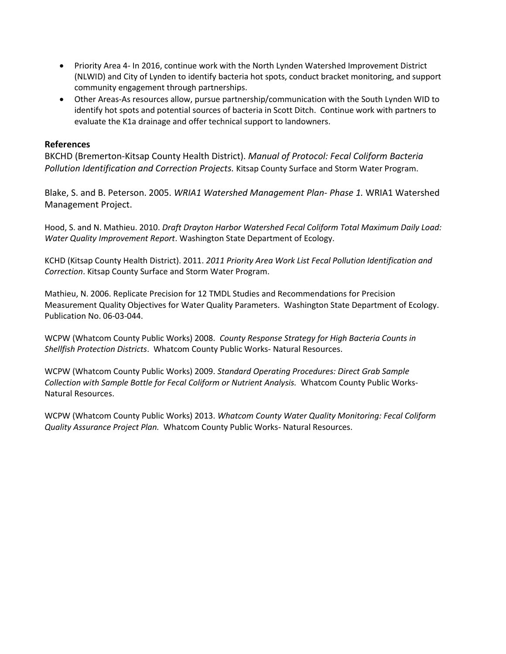- Priority Area 4- In 2016, continue work with the North Lynden Watershed Improvement District (NLWID) and City of Lynden to identify bacteria hot spots, conduct bracket monitoring, and support community engagement through partnerships.
- Other Areas-As resources allow, pursue partnership/communication with the South Lynden WID to identify hot spots and potential sources of bacteria in Scott Ditch. Continue work with partners to evaluate the K1a drainage and offer technical support to landowners.

## **References**

BKCHD (Bremerton-Kitsap County Health District). *Manual of Protocol: Fecal Coliform Bacteria Pollution Identification and Correction Projects.* Kitsap County Surface and Storm Water Program.

Blake, S. and B. Peterson. 2005. *WRIA1 Watershed Management Plan- Phase 1.* WRIA1 Watershed Management Project.

Hood, S. and N. Mathieu. 2010. *Draft Drayton Harbor Watershed Fecal Coliform Total Maximum Daily Load: Water Quality Improvement Report*. Washington State Department of Ecology.

KCHD (Kitsap County Health District). 2011. *2011 Priority Area Work List Fecal Pollution Identification and Correction*. Kitsap County Surface and Storm Water Program.

Mathieu, N. 2006. Replicate Precision for 12 TMDL Studies and Recommendations for Precision Measurement Quality Objectives for Water Quality Parameters. Washington State Department of Ecology. Publication No. 06-03-044.

WCPW (Whatcom County Public Works) 2008. *County Response Strategy for High Bacteria Counts in Shellfish Protection Districts*. Whatcom County Public Works- Natural Resources.

WCPW (Whatcom County Public Works) 2009. *Standard Operating Procedures: Direct Grab Sample Collection with Sample Bottle for Fecal Coliform or Nutrient Analysis.* Whatcom County Public Works-Natural Resources.

WCPW (Whatcom County Public Works) 2013. *Whatcom County Water Quality Monitoring: Fecal Coliform Quality Assurance Project Plan.* Whatcom County Public Works- Natural Resources.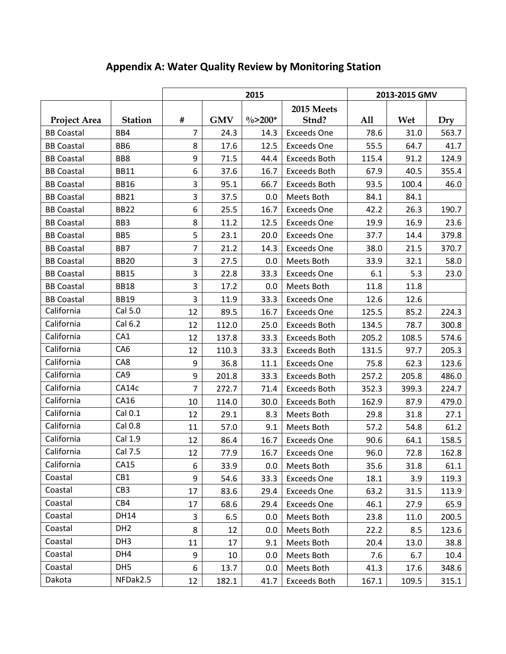|                     | 2015<br>2013-2015 GMV |                |            |             |                     |       |       |       |
|---------------------|-----------------------|----------------|------------|-------------|---------------------|-------|-------|-------|
|                     |                       |                |            |             | 2015 Meets          |       |       |       |
| <b>Project Area</b> | <b>Station</b>        | #              | <b>GMV</b> | $\% > 200*$ | Stnd?               | A11   | Wet   | Dry   |
| <b>BB Coastal</b>   | BB4                   | $\overline{7}$ | 24.3       | 14.3        | <b>Exceeds One</b>  | 78.6  | 31.0  | 563.7 |
| <b>BB Coastal</b>   | BB <sub>6</sub>       | 8              | 17.6       | 12.5        | <b>Exceeds One</b>  | 55.5  | 64.7  | 41.7  |
| <b>BB Coastal</b>   | BB8                   | 9              | 71.5       | 44.4        | <b>Exceeds Both</b> | 115.4 | 91.2  | 124.9 |
| <b>BB Coastal</b>   | <b>BB11</b>           | 6              | 37.6       | 16.7        | <b>Exceeds Both</b> | 67.9  | 40.5  | 355.4 |
| <b>BB Coastal</b>   | <b>BB16</b>           | 3              | 95.1       | 66.7        | <b>Exceeds Both</b> | 93.5  | 100.4 | 46.0  |
| <b>BB Coastal</b>   | <b>BB21</b>           | 3              | 37.5       | 0.0         | Meets Both          | 84.1  | 84.1  |       |
| <b>BB Coastal</b>   | <b>BB22</b>           | 6              | 25.5       | 16.7        | <b>Exceeds One</b>  | 42.2  | 26.3  | 190.7 |
| <b>BB Coastal</b>   | BB <sub>3</sub>       | 8              | 11.2       | 12.5        | <b>Exceeds One</b>  | 19.9  | 16.9  | 23.6  |
| <b>BB Coastal</b>   | BB5                   | 5              | 23.1       | 20.0        | <b>Exceeds One</b>  | 37.7  | 14.4  | 379.8 |
| <b>BB Coastal</b>   | BB7                   | 7              | 21.2       | 14.3        | <b>Exceeds One</b>  | 38.0  | 21.5  | 370.7 |
| <b>BB Coastal</b>   | <b>BB20</b>           | 3              | 27.5       | 0.0         | Meets Both          | 33.9  | 32.1  | 58.0  |
| <b>BB Coastal</b>   | <b>BB15</b>           | 3              | 22.8       | 33.3        | <b>Exceeds One</b>  | 6.1   | 5.3   | 23.0  |
| <b>BB Coastal</b>   | <b>BB18</b>           | 3              | 17.2       | 0.0         | Meets Both          | 11.8  | 11.8  |       |
| <b>BB Coastal</b>   | <b>BB19</b>           | 3              | 11.9       | 33.3        | <b>Exceeds One</b>  | 12.6  | 12.6  |       |
| California          | Cal 5.0               | 12             | 89.5       | 16.7        | <b>Exceeds One</b>  | 125.5 | 85.2  | 224.3 |
| California          | Cal 6.2               | 12             | 112.0      | 25.0        | <b>Exceeds Both</b> | 134.5 | 78.7  | 300.8 |
| California          | CA1                   | 12             | 137.8      | 33.3        | <b>Exceeds Both</b> | 205.2 | 108.5 | 574.6 |
| California          | CA <sub>6</sub>       | 12             | 110.3      | 33.3        | <b>Exceeds Both</b> | 131.5 | 97.7  | 205.3 |
| California          | CA8                   | 9              | 36.8       | 11.1        | <b>Exceeds One</b>  | 75.8  | 62.3  | 123.6 |
| California          | CA <sub>9</sub>       | 9              | 201.8      | 33.3        | <b>Exceeds Both</b> | 257.2 | 205.8 | 486.0 |
| California          | CA14c                 | $\overline{7}$ | 272.7      | 71.4        | <b>Exceeds Both</b> | 352.3 | 399.3 | 224.7 |
| California          | CA16                  | 10             | 114.0      | 30.0        | <b>Exceeds Both</b> | 162.9 | 87.9  | 479.0 |
| California          | Cal 0.1               | 12             | 29.1       | 8.3         | Meets Both          | 29.8  | 31.8  | 27.1  |
| California          | Cal 0.8               | 11             | 57.0       | 9.1         | Meets Both          | 57.2  | 54.8  | 61.2  |
| California          | Cal 1.9               | 12             | 86.4       | 16.7        | <b>Exceeds One</b>  | 90.6  | 64.1  | 158.5 |
| California          | Cal 7.5               | 12             | 77.9       | 16.7        | <b>Exceeds One</b>  | 96.0  | 72.8  | 162.8 |
| California          | CA15                  | 6              | 33.9       | 0.0         | Meets Both          | 35.6  | 31.8  | 61.1  |
| Coastal             | CB1                   | 9              | 54.6       | 33.3        | <b>Exceeds One</b>  | 18.1  | 3.9   | 119.3 |
| Coastal             | CB <sub>3</sub>       | 17             | 83.6       | 29.4        | <b>Exceeds One</b>  | 63.2  | 31.5  | 113.9 |
| Coastal             | CB4                   | 17             | 68.6       | 29.4        | <b>Exceeds One</b>  | 46.1  | 27.9  | 65.9  |
| Coastal             | <b>DH14</b>           | 3              | 6.5        | 0.0         | Meets Both          | 23.8  | 11.0  | 200.5 |
| Coastal             | DH <sub>2</sub>       | 8              | 12         | 0.0         | Meets Both          | 22.2  | 8.5   | 123.6 |
| Coastal             | DH <sub>3</sub>       | 11             | 17         | 9.1         | Meets Both          | 20.4  | 13.0  | 38.8  |
| Coastal             | DH4                   | 9              | 10         | 0.0         | Meets Both          | 7.6   | 6.7   | 10.4  |
| Coastal             | DH <sub>5</sub>       | 6              | 13.7       | 0.0         | Meets Both          | 41.3  | 17.6  | 348.6 |
| Dakota              | NFDak2.5              | 12             | 182.1      | 41.7        | Exceeds Both        | 167.1 | 109.5 | 315.1 |

## **Appendix A: Water Quality Review by Monitoring Station**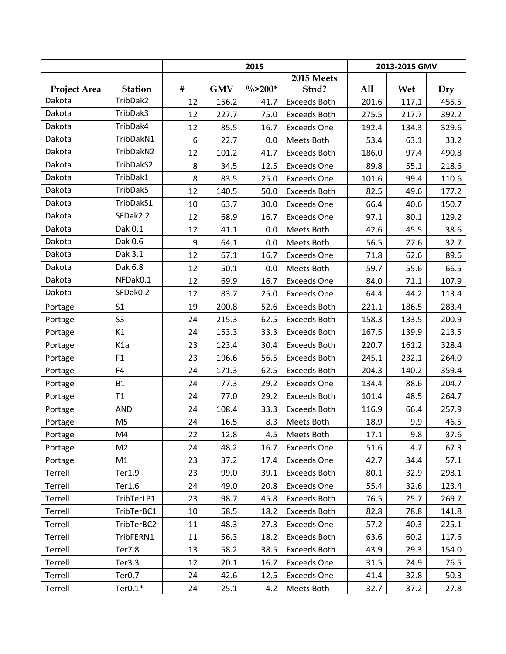|                     |                  |      |            | 2015                |                     | 2013-2015 GMV |       |       |
|---------------------|------------------|------|------------|---------------------|---------------------|---------------|-------|-------|
|                     |                  |      |            |                     | 2015 Meets          |               |       |       |
| <b>Project Area</b> | <b>Station</b>   | $\#$ | <b>GMV</b> | $\frac{0}{0}$ >200* | Stnd?               | All           | Wet   | Dry   |
| Dakota              | TribDak2         | 12   | 156.2      | 41.7                | <b>Exceeds Both</b> | 201.6         | 117.1 | 455.5 |
| Dakota              | TribDak3         | 12   | 227.7      | 75.0                | <b>Exceeds Both</b> | 275.5         | 217.7 | 392.2 |
| Dakota              | TribDak4         | 12   | 85.5       | 16.7                | <b>Exceeds One</b>  | 192.4         | 134.3 | 329.6 |
| Dakota              | TribDakN1        | 6    | 22.7       | 0.0                 | Meets Both          | 53.4          | 63.1  | 33.2  |
| Dakota              | TribDakN2        | 12   | 101.2      | 41.7                | <b>Exceeds Both</b> | 186.0         | 97.4  | 490.8 |
| Dakota              | TribDakS2        | 8    | 34.5       | 12.5                | <b>Exceeds One</b>  | 89.8          | 55.1  | 218.6 |
| Dakota              | TribDak1         | 8    | 83.5       | 25.0                | <b>Exceeds One</b>  | 101.6         | 99.4  | 110.6 |
| Dakota              | TribDak5         | 12   | 140.5      | 50.0                | <b>Exceeds Both</b> | 82.5          | 49.6  | 177.2 |
| Dakota              | TribDakS1        | 10   | 63.7       | 30.0                | <b>Exceeds One</b>  | 66.4          | 40.6  | 150.7 |
| Dakota              | SFDak2.2         | 12   | 68.9       | 16.7                | <b>Exceeds One</b>  | 97.1          | 80.1  | 129.2 |
| Dakota              | Dak 0.1          | 12   | 41.1       | 0.0                 | Meets Both          | 42.6          | 45.5  | 38.6  |
| Dakota              | Dak 0.6          | 9    | 64.1       | 0.0                 | Meets Both          | 56.5          | 77.6  | 32.7  |
| Dakota              | Dak 3.1          | 12   | 67.1       | 16.7                | <b>Exceeds One</b>  | 71.8          | 62.6  | 89.6  |
| Dakota              | Dak 6.8          | 12   | 50.1       | 0.0                 | Meets Both          | 59.7          | 55.6  | 66.5  |
| Dakota              | NFDak0.1         | 12   | 69.9       | 16.7                | <b>Exceeds One</b>  | 84.0          | 71.1  | 107.9 |
| Dakota              | SFDak0.2         | 12   | 83.7       | 25.0                | <b>Exceeds One</b>  | 64.4          | 44.2  | 113.4 |
| Portage             | S <sub>1</sub>   | 19   | 200.8      | 52.6                | <b>Exceeds Both</b> | 221.1         | 186.5 | 283.4 |
| Portage             | S <sub>3</sub>   | 24   | 215.3      | 62.5                | Exceeds Both        | 158.3         | 133.5 | 200.9 |
| Portage             | K1               | 24   | 153.3      | 33.3                | <b>Exceeds Both</b> | 167.5         | 139.9 | 213.5 |
| Portage             | K <sub>1</sub> a | 23   | 123.4      | 30.4                | <b>Exceeds Both</b> | 220.7         | 161.2 | 328.4 |
| Portage             | F1               | 23   | 196.6      | 56.5                | <b>Exceeds Both</b> | 245.1         | 232.1 | 264.0 |
| Portage             | F4               | 24   | 171.3      | 62.5                | <b>Exceeds Both</b> | 204.3         | 140.2 | 359.4 |
| Portage             | <b>B1</b>        | 24   | 77.3       | 29.2                | <b>Exceeds One</b>  | 134.4         | 88.6  | 204.7 |
| Portage             | T1               | 24   | 77.0       | 29.2                | <b>Exceeds Both</b> | 101.4         | 48.5  | 264.7 |
| Portage             | AND              | 24   | 108.4      | 33.3                | <b>Exceeds Both</b> | 116.9         | 66.4  | 257.9 |
| Portage             | M <sub>5</sub>   | 24   | 16.5       | 8.3                 | Meets Both          | 18.9          | 9.9   | 46.5  |
| Portage             | M4               | 22   | 12.8       | 4.5                 | Meets Both          | 17.1          | 9.8   | 37.6  |
| Portage             | M <sub>2</sub>   | 24   | 48.2       | 16.7                | <b>Exceeds One</b>  | 51.6          | 4.7   | 67.3  |
| Portage             | M1               | 23   | 37.2       | 17.4                | <b>Exceeds One</b>  | 42.7          | 34.4  | 57.1  |
| Terrell             | Ter1.9           | 23   | 99.0       | 39.1                | <b>Exceeds Both</b> | 80.1          | 32.9  | 298.1 |
| Terrell             | Ter1.6           | 24   | 49.0       | 20.8                | <b>Exceeds One</b>  | 55.4          | 32.6  | 123.4 |
| Terrell             | TribTerLP1       | 23   | 98.7       | 45.8                | <b>Exceeds Both</b> | 76.5          | 25.7  | 269.7 |
| Terrell             | TribTerBC1       | 10   | 58.5       | 18.2                | <b>Exceeds Both</b> | 82.8          | 78.8  | 141.8 |
| Terrell             | TribTerBC2       | 11   | 48.3       | 27.3                | <b>Exceeds One</b>  | 57.2          | 40.3  | 225.1 |
| Terrell             | TribFERN1        | 11   | 56.3       | 18.2                | <b>Exceeds Both</b> | 63.6          | 60.2  | 117.6 |
| Terrell             | Ter7.8           | 13   | 58.2       | 38.5                | <b>Exceeds Both</b> | 43.9          | 29.3  | 154.0 |
| Terrell             | Ter3.3           | 12   | 20.1       | 16.7                | <b>Exceeds One</b>  | 31.5          | 24.9  | 76.5  |
| Terrell             | Ter0.7           | 24   | 42.6       | 12.5                | <b>Exceeds One</b>  | 41.4          | 32.8  | 50.3  |
| Terrell             | $Ter0.1*$        | 24   | 25.1       | 4.2                 | Meets Both          | 32.7          | 37.2  | 27.8  |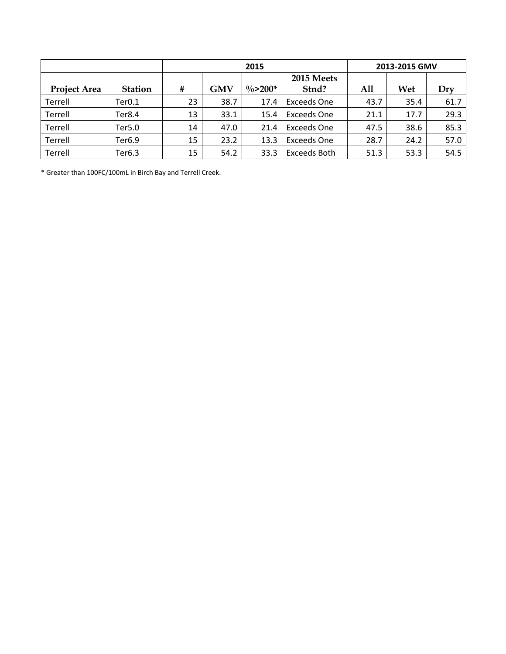|                     |                |    |            | 2015                |                    |      | 2013-2015 GMV |      |
|---------------------|----------------|----|------------|---------------------|--------------------|------|---------------|------|
|                     |                |    |            |                     | 2015 Meets         |      |               |      |
| <b>Project Area</b> | <b>Station</b> | #  | <b>GMV</b> | $\frac{0}{2}$ >200* | Stnd?              | All  | Wet           | Dry  |
| Terrell             | Ter0.1         | 23 | 38.7       | 17.4                | <b>Exceeds One</b> | 43.7 | 35.4          | 61.7 |
| Terrell             | Ter8.4         | 13 | 33.1       | 15.4                | <b>Exceeds One</b> | 21.1 | 17.7          | 29.3 |
| Terrell             | Ter5.0         | 14 | 47.0       | 21.4                | <b>Exceeds One</b> | 47.5 | 38.6          | 85.3 |
| Terrell             | Ter6.9         | 15 | 23.2       | 13.3                | <b>Exceeds One</b> | 28.7 | 24.2          | 57.0 |
| Terrell             | Ter6.3         | 15 | 54.2       | 33.3                | Exceeds Both       | 51.3 | 53.3          | 54.5 |

\* Greater than 100FC/100mL in Birch Bay and Terrell Creek.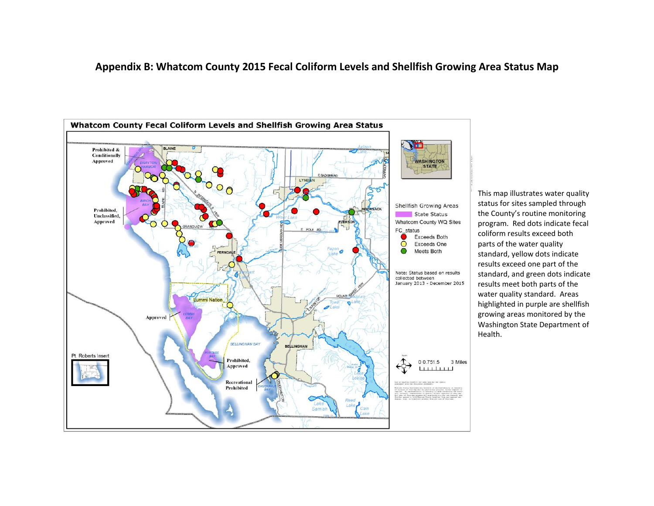## **Appendix B: Whatcom County 2015 Fecal Coliform Levels and Shellfish Growing Area Status Map**



This map illustrates water quality status for sites sampled through the County's routine monitoring program. Red dots indicate fecal coliform results exceed both parts of the water quality standard, yellow dots indicate results exceed one part of the standard, and green dots indicate results meet both parts of the water quality standard. Areas highlighted in purple are shellfish growing areas monitored by the Washington State Department of Health.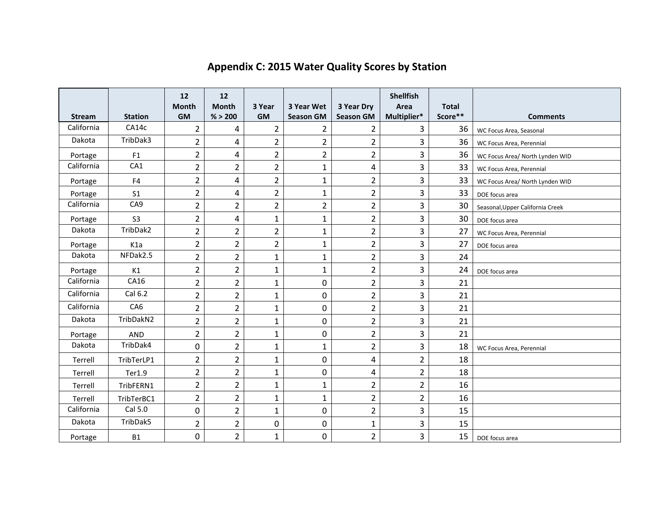| <b>Stream</b> | <b>Station</b>   | 12<br><b>Month</b><br><b>GM</b> | 12<br><b>Month</b><br>% > 200 | 3 Year<br><b>GM</b> | 3 Year Wet<br><b>Season GM</b> | 3 Year Dry<br><b>Season GM</b> | <b>Shellfish</b><br>Area<br>Multiplier* | <b>Total</b><br>Score** | <b>Comments</b>                  |
|---------------|------------------|---------------------------------|-------------------------------|---------------------|--------------------------------|--------------------------------|-----------------------------------------|-------------------------|----------------------------------|
| California    | CA14c            | $\overline{2}$                  | 4                             | $\overline{2}$      | $\overline{2}$                 | 2                              | 3                                       | 36                      | WC Focus Area, Seasonal          |
| Dakota        | TribDak3         | $\overline{2}$                  | 4                             | $\overline{2}$      | $\overline{2}$                 | $\overline{2}$                 | $\overline{3}$                          | 36                      | WC Focus Area, Perennial         |
| Portage       | F <sub>1</sub>   | $\overline{2}$                  | 4                             | $\overline{2}$      | $\overline{2}$                 | $\overline{2}$                 | 3                                       | 36                      | WC Focus Area/ North Lynden WID  |
| California    | CA1              | $\overline{2}$                  | $\overline{2}$                | $\overline{2}$      | $\mathbf 1$                    | $\overline{\mathbf{4}}$        | 3                                       | 33                      | WC Focus Area, Perennial         |
| Portage       | F4               | $\overline{2}$                  | 4                             | $\overline{2}$      | $\mathbf{1}$                   | $\overline{2}$                 | 3                                       | 33                      | WC Focus Area/ North Lynden WID  |
| Portage       | S <sub>1</sub>   | $\overline{2}$                  | 4                             | $\overline{2}$      | $\mathbf{1}$                   | $\overline{2}$                 | 3                                       | 33                      | DOE focus area                   |
| California    | CA <sub>9</sub>  | $\overline{2}$                  | $\overline{2}$                | $\overline{2}$      | $\overline{2}$                 | $\overline{2}$                 | $\overline{3}$                          | 30                      | Seasonal, Upper California Creek |
| Portage       | S <sub>3</sub>   | $\overline{2}$                  | 4                             | $\mathbf{1}$        | $\mathbf{1}$                   | $\overline{2}$                 | 3                                       | 30                      | DOE focus area                   |
| Dakota        | TribDak2         | $\overline{2}$                  | $\overline{2}$                | $\overline{2}$      | $\mathbf{1}$                   | $\overline{2}$                 | 3                                       | 27                      | WC Focus Area, Perennial         |
| Portage       | K <sub>1</sub> a | $\overline{2}$                  | $\overline{2}$                | $\overline{2}$      | $\mathbf{1}$                   | $\overline{2}$                 | 3                                       | 27                      | DOE focus area                   |
| Dakota        | NFDak2.5         | $\overline{2}$                  | $\overline{2}$                | $\mathbf{1}$        | $\mathbf{1}$                   | $\overline{2}$                 | 3                                       | 24                      |                                  |
| Portage       | K1               | $\overline{2}$                  | $\overline{2}$                | $\mathbf{1}$        | $\mathbf{1}$                   | $\overline{2}$                 | $\overline{3}$                          | 24                      | DOE focus area                   |
| California    | CA16             | $\overline{2}$                  | $\overline{2}$                | $\mathbf{1}$        | $\mathbf 0$                    | $\overline{2}$                 | 3                                       | 21                      |                                  |
| California    | Cal 6.2          | $\overline{2}$                  | $\overline{2}$                | $\mathbf{1}$        | $\boldsymbol{0}$               | $\overline{2}$                 | 3                                       | 21                      |                                  |
| California    | CA <sub>6</sub>  | $\overline{2}$                  | $\overline{2}$                | $\mathbf{1}$        | $\mathbf 0$                    | $\overline{2}$                 | 3                                       | 21                      |                                  |
| Dakota        | TribDakN2        | $\overline{2}$                  | $\overline{2}$                | $\mathbf{1}$        | $\mathbf 0$                    | $\overline{2}$                 | 3                                       | 21                      |                                  |
| Portage       | AND              | $\overline{2}$                  | $\overline{2}$                | $\mathbf{1}$        | $\mathbf 0$                    | $\overline{2}$                 | 3                                       | 21                      |                                  |
| Dakota        | TribDak4         | 0                               | $\overline{2}$                | $\mathbf{1}$        | $\mathbf{1}$                   | $\overline{2}$                 | $\overline{3}$                          | 18                      | WC Focus Area, Perennial         |
| Terrell       | TribTerLP1       | $\overline{2}$                  | $\overline{2}$                | $\mathbf{1}$        | $\mathbf 0$                    | 4                              | $\overline{2}$                          | 18                      |                                  |
| Terrell       | Ter1.9           | $\overline{2}$                  | $\overline{2}$                | $\mathbf{1}$        | 0                              | 4                              | $\overline{2}$                          | 18                      |                                  |
| Terrell       | TribFERN1        | 2                               | $\overline{2}$                | $\mathbf{1}$        | $\mathbf{1}$                   | $\overline{2}$                 | $\overline{2}$                          | 16                      |                                  |
| Terrell       | TribTerBC1       | $\overline{2}$                  | $\overline{2}$                | $\mathbf{1}$        | $\mathbf{1}$                   | $\overline{2}$                 | $\overline{2}$                          | 16                      |                                  |
| California    | Cal 5.0          | 0                               | $\overline{2}$                | $\mathbf{1}$        | $\mathbf 0$                    | $\overline{2}$                 | 3                                       | 15                      |                                  |
| Dakota        | TribDak5         | $\overline{2}$                  | $\overline{2}$                | 0                   | $\mathbf 0$                    | $\mathbf{1}$                   | 3                                       | 15                      |                                  |
| Portage       | <b>B1</b>        | 0                               | $\overline{2}$                | $\mathbf{1}$        | 0                              | $\overline{2}$                 | 3                                       | 15                      | DOE focus area                   |

## **Appendix C: 2015 Water Quality Scores by Station**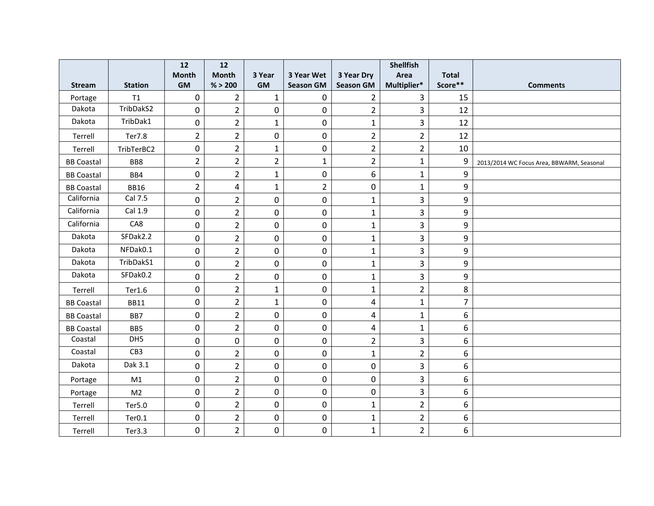|                   |                    | 12               | 12             |                |                  |                  | <b>Shellfish</b> |                |                                           |
|-------------------|--------------------|------------------|----------------|----------------|------------------|------------------|------------------|----------------|-------------------------------------------|
|                   |                    | <b>Month</b>     | <b>Month</b>   | 3 Year         | 3 Year Wet       | 3 Year Dry       | Area             | <b>Total</b>   |                                           |
| <b>Stream</b>     | <b>Station</b>     | <b>GM</b>        | % > 200        | <b>GM</b>      | <b>Season GM</b> | <b>Season GM</b> | Multiplier*      | Score**        | <b>Comments</b>                           |
| Portage           | T1                 | $\pmb{0}$        | $\overline{2}$ | $\mathbf{1}$   | 0                | $\overline{2}$   | $\overline{3}$   | 15             |                                           |
| Dakota            | TribDakS2          | $\boldsymbol{0}$ | $\overline{2}$ | 0              | $\boldsymbol{0}$ | $\overline{2}$   | $\overline{3}$   | 12             |                                           |
| Dakota            | TribDak1           | $\mathbf 0$      | $\overline{2}$ | $\mathbf{1}$   | $\mathbf 0$      | $\mathbf{1}$     | $\overline{3}$   | 12             |                                           |
| Terrell           | <b>Ter7.8</b>      | $\overline{2}$   | $\overline{2}$ | 0              | 0                | $\overline{2}$   | $\overline{2}$   | 12             |                                           |
| Terrell           | TribTerBC2         | 0                | $\overline{2}$ | $\mathbf{1}$   | 0                | $\overline{2}$   | $\overline{2}$   | 10             |                                           |
| <b>BB Coastal</b> | BB8                | $\overline{2}$   | $\overline{2}$ | $\overline{2}$ | $\mathbf 1$      | $\overline{2}$   | $\mathbf{1}$     | 9              | 2013/2014 WC Focus Area, BBWARM, Seasonal |
| <b>BB Coastal</b> | BB4                | $\pmb{0}$        | $\overline{2}$ | $\mathbf{1}$   | 0                | 6                | $\mathbf{1}$     | 9              |                                           |
| <b>BB Coastal</b> | <b>BB16</b>        | $\overline{2}$   | $\overline{4}$ | $\mathbf{1}$   | $\overline{2}$   | 0                | $\mathbf{1}$     | 9              |                                           |
| California        | Cal 7.5            | $\pmb{0}$        | $\overline{2}$ | $\pmb{0}$      | 0                | $\mathbf{1}$     | $\overline{3}$   | 9              |                                           |
| California        | Cal 1.9            | $\pmb{0}$        | $\overline{2}$ | $\pmb{0}$      | $\pmb{0}$        | $\mathbf{1}$     | 3                | 9              |                                           |
| California        | CA8                | $\mathbf 0$      | $\overline{2}$ | 0              | 0                | $\mathbf{1}$     | $\overline{3}$   | 9              |                                           |
| Dakota            | SFDak2.2           | $\mathbf 0$      | $\overline{2}$ | $\mathbf 0$    | 0                | $\mathbf{1}$     | 3                | 9              |                                           |
| Dakota            | NFDak0.1           | $\pmb{0}$        | $\overline{2}$ | 0              | $\boldsymbol{0}$ | $\mathbf{1}$     | 3                | 9              |                                           |
| Dakota            | TribDakS1          | $\pmb{0}$        | $\overline{2}$ | 0              | $\pmb{0}$        | $\mathbf{1}$     | 3                | 9              |                                           |
| Dakota            | SFDak0.2           | $\mathbf 0$      | $\overline{2}$ | 0              | 0                | $\mathbf{1}$     | $\overline{3}$   | 9              |                                           |
| Terrell           | Ter1.6             | $\pmb{0}$        | $\overline{2}$ | $\mathbf{1}$   | 0                | $\mathbf{1}$     | $\overline{2}$   | 8              |                                           |
| <b>BB Coastal</b> | <b>BB11</b>        | $\pmb{0}$        | $\overline{2}$ | $\mathbf{1}$   | $\pmb{0}$        | 4                | $\mathbf{1}$     | $\overline{7}$ |                                           |
| <b>BB Coastal</b> | BB7                | $\pmb{0}$        | $\overline{2}$ | 0              | $\pmb{0}$        | 4                | $\mathbf{1}$     | 6              |                                           |
| <b>BB Coastal</b> | BB5                | $\mathbf 0$      | $\overline{2}$ | 0              | 0                | 4                | $\mathbf{1}$     | 6              |                                           |
| Coastal           | DH5                | $\pmb{0}$        | $\mathbf 0$    | 0              | 0                | $\overline{2}$   | 3                | 6              |                                           |
| Coastal           | CB3                | $\boldsymbol{0}$ | $\overline{2}$ | $\pmb{0}$      | $\pmb{0}$        | $\mathbf{1}$     | $\overline{2}$   | 6              |                                           |
| Dakota            | Dak 3.1            | $\pmb{0}$        | $\overline{2}$ | $\pmb{0}$      | $\boldsymbol{0}$ | 0                | $\overline{3}$   | 6              |                                           |
| Portage           | M1                 | $\pmb{0}$        | $\overline{2}$ | $\mathbf 0$    | 0                | 0                | $\overline{3}$   | 6              |                                           |
| Portage           | M <sub>2</sub>     | $\mathbf 0$      | $\overline{2}$ | 0              | $\pmb{0}$        | $\pmb{0}$        | 3                | 6              |                                           |
| Terrell           | Ter5.0             | $\pmb{0}$        | $\overline{2}$ | $\pmb{0}$      | $\pmb{0}$        | $\mathbf{1}$     | $\overline{2}$   | 6              |                                           |
| Terrell           | Ter <sub>0.1</sub> | $\pmb{0}$        | $\overline{2}$ | 0              | $\boldsymbol{0}$ | $\mathbf{1}$     | $\overline{2}$   | 6              |                                           |
| Terrell           | Ter3.3             | $\mathbf 0$      | $\overline{2}$ | 0              | 0                | $\mathbf{1}$     | $\overline{2}$   | 6              |                                           |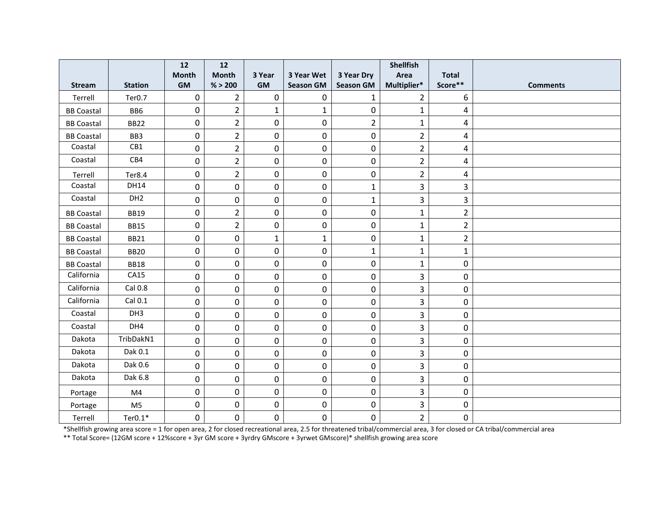|                   |                    | 12           | $12$           |              |                  |                  | <b>Shellfish</b>        |                |                 |
|-------------------|--------------------|--------------|----------------|--------------|------------------|------------------|-------------------------|----------------|-----------------|
|                   |                    | <b>Month</b> | <b>Month</b>   | 3 Year       | 3 Year Wet       | 3 Year Dry       | Area                    | <b>Total</b>   |                 |
| <b>Stream</b>     | <b>Station</b>     | <b>GM</b>    | % > 200        | GM           | <b>Season GM</b> | <b>Season GM</b> | Multiplier*             | Score**        | <b>Comments</b> |
| Terrell           | Ter <sub>0.7</sub> | $\pmb{0}$    | $\overline{2}$ | $\mathbf 0$  | $\boldsymbol{0}$ | $\mathbf{1}$     | $\overline{2}$          | 6              |                 |
| <b>BB Coastal</b> | BB6                | $\mathbf 0$  | $\overline{2}$ | $\mathbf{1}$ | $\mathbf{1}$     | $\mathbf 0$      | 1                       | 4              |                 |
| <b>BB Coastal</b> | <b>BB22</b>        | $\pmb{0}$    | $\overline{2}$ | 0            | $\boldsymbol{0}$ | $\overline{2}$   | $\mathbf{1}$            | 4              |                 |
| <b>BB Coastal</b> | BB3                | 0            | $\overline{2}$ | 0            | $\boldsymbol{0}$ | 0                | $\overline{2}$          | 4              |                 |
| Coastal           | CB1                | $\pmb{0}$    | $\overline{2}$ | 0            | 0                | $\pmb{0}$        | $\overline{2}$          | 4              |                 |
| Coastal           | CB4                | 0            | $\overline{2}$ | 0            | $\mathbf 0$      | 0                | $\overline{2}$          | 4              |                 |
| Terrell           | Ter8.4             | 0            | $\overline{2}$ | 0            | $\mathbf 0$      | 0                | $\overline{2}$          | 4              |                 |
| Coastal           | <b>DH14</b>        | $\pmb{0}$    | $\mathbf 0$    | 0            | $\boldsymbol{0}$ | $\mathbf{1}$     | $\overline{\mathbf{3}}$ | 3              |                 |
| Coastal           | DH <sub>2</sub>    | 0            | $\mathbf 0$    | 0            | $\boldsymbol{0}$ | $\mathbf{1}$     | 3                       | 3              |                 |
| <b>BB Coastal</b> | <b>BB19</b>        | 0            | $\overline{2}$ | 0            | $\mathbf 0$      | $\mathbf 0$      | $\mathbf{1}$            | $\overline{2}$ |                 |
| <b>BB Coastal</b> | <b>BB15</b>        | $\pmb{0}$    | $\overline{2}$ | 0            | $\boldsymbol{0}$ | 0                | $\mathbf{1}$            | $\overline{2}$ |                 |
| <b>BB Coastal</b> | <b>BB21</b>        | $\pmb{0}$    | $\mathbf 0$    | $\mathbf{1}$ | $\mathbf{1}$     | 0                | $\mathbf 1$             | $\overline{2}$ |                 |
| <b>BB Coastal</b> | <b>BB20</b>        | 0            | $\mathbf 0$    | 0            | $\boldsymbol{0}$ | $\mathbf{1}$     | $\mathbf{1}$            | $\mathbf{1}$   |                 |
| <b>BB Coastal</b> | <b>BB18</b>        | 0            | $\mathbf 0$    | 0            | $\mathbf 0$      | 0                | $\mathbf{1}$            | 0              |                 |
| California        | CA15               | $\pmb{0}$    | $\mathbf 0$    | 0            | $\mathbf 0$      | 0                | $\overline{3}$          | 0              |                 |
| California        | Cal 0.8            | $\pmb{0}$    | $\mathbf 0$    | 0            | $\boldsymbol{0}$ | 0                | $\overline{3}$          | 0              |                 |
| California        | Cal 0.1            | $\mathbf 0$  | $\mathbf 0$    | 0            | $\mathbf 0$      | $\mathbf 0$      | 3                       | 0              |                 |
| Coastal           | DH <sub>3</sub>    | 0            | $\pmb{0}$      | 0            | $\boldsymbol{0}$ | 0                | 3                       | 0              |                 |
| Coastal           | DH4                | $\pmb{0}$    | 0              | 0            | $\boldsymbol{0}$ | 0                | $\overline{3}$          | 0              |                 |
| Dakota            | TribDakN1          | $\pmb{0}$    | $\mathbf 0$    | 0            | $\boldsymbol{0}$ | 0                | 3                       | 0              |                 |
| Dakota            | Dak 0.1            | 0            | $\mathbf 0$    | 0            | 0                | $\mathbf 0$      | 3                       | 0              |                 |
| Dakota            | Dak 0.6            | $\pmb{0}$    | $\mathbf 0$    | 0            | $\boldsymbol{0}$ | 0                | 3                       | 0              |                 |
| Dakota            | Dak 6.8            | $\pmb{0}$    | $\mathbf 0$    | 0            | $\boldsymbol{0}$ | 0                | 3                       | 0              |                 |
| Portage           | M <sub>4</sub>     | $\pmb{0}$    | 0              | 0            | $\boldsymbol{0}$ | 0                | $\overline{\mathbf{3}}$ | 0              |                 |
| Portage           | M <sub>5</sub>     | 0            | $\mathbf 0$    | 0            | 0                | 0                | 3                       | 0              |                 |
| Terrell           | $Ter0.1*$          | 0            | 0              | 0            | $\boldsymbol{0}$ | $\pmb{0}$        | $\overline{2}$          | 0              |                 |

\*Shellfish growing area score = 1 for open area, 2 for closed recreational area, 2.5 for threatened tribal/commercial area, 3 for closed or CA tribal/commercial area

\*\* Total Score= (12GM score + 12%score + 3yr GM score + 3yrdry GMscore + 3yrwet GMscore)\* shellfish growing area score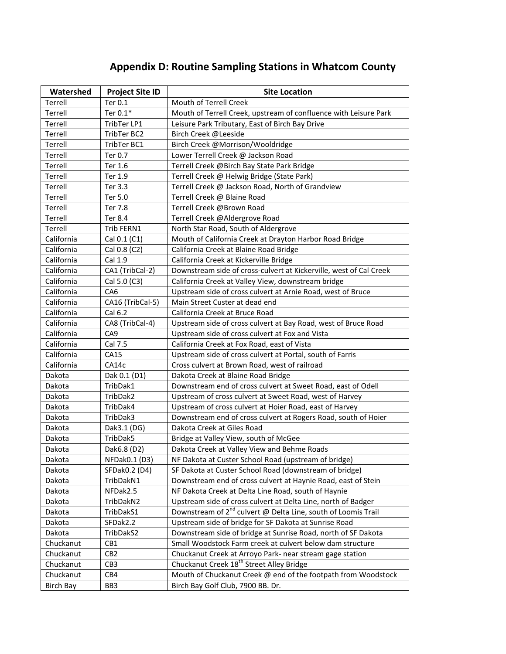# **Appendix D: Routine Sampling Stations in Whatcom County**

| Watershed        | <b>Project Site ID</b> | <b>Site Location</b>                                                      |
|------------------|------------------------|---------------------------------------------------------------------------|
| Terrell          | Ter 0.1                | Mouth of Terrell Creek                                                    |
| Terrell          | Ter 0.1*               | Mouth of Terrell Creek, upstream of confluence with Leisure Park          |
| Terrell          | TribTer LP1            | Leisure Park Tributary, East of Birch Bay Drive                           |
| Terrell          | TribTer BC2            | Birch Creek @Leeside                                                      |
| Terrell          | TribTer BC1            | Birch Creek @Morrison/Wooldridge                                          |
| Terrell          | Ter 0.7                | Lower Terrell Creek @ Jackson Road                                        |
| Terrell          | Ter 1.6                | Terrell Creek @Birch Bay State Park Bridge                                |
| Terrell          | Ter 1.9                | Terrell Creek @ Helwig Bridge (State Park)                                |
| Terrell          | Ter 3.3                | Terrell Creek @ Jackson Road, North of Grandview                          |
| Terrell          | Ter 5.0                | Terrell Creek @ Blaine Road                                               |
| Terrell          | Ter 7.8                | Terrell Creek @Brown Road                                                 |
| Terrell          | Ter 8.4                | Terrell Creek @Aldergrove Road                                            |
| Terrell          | Trib FERN1             | North Star Road, South of Aldergrove                                      |
| California       | Cal 0.1 (C1)           | Mouth of California Creek at Drayton Harbor Road Bridge                   |
| California       | Cal 0.8 (C2)           | California Creek at Blaine Road Bridge                                    |
| California       | Cal 1.9                | California Creek at Kickerville Bridge                                    |
| California       | CA1 (TribCal-2)        | Downstream side of cross-culvert at Kickerville, west of Cal Creek        |
| California       | Cal 5.0 (C3)           | California Creek at Valley View, downstream bridge                        |
| California       | CA <sub>6</sub>        | Upstream side of cross culvert at Arnie Road, west of Bruce               |
| California       | CA16 (TribCal-5)       | Main Street Custer at dead end                                            |
| California       | Cal 6.2                | California Creek at Bruce Road                                            |
| California       | CA8 (TribCal-4)        | Upstream side of cross culvert at Bay Road, west of Bruce Road            |
| California       | CA <sub>9</sub>        | Upstream side of cross culvert at Fox and Vista                           |
| California       | Cal 7.5                | California Creek at Fox Road, east of Vista                               |
| California       | CA15                   | Upstream side of cross culvert at Portal, south of Farris                 |
| California       | CA14c                  | Cross culvert at Brown Road, west of railroad                             |
| Dakota           | Dak 0.1 (D1)           | Dakota Creek at Blaine Road Bridge                                        |
| Dakota           | TribDak1               | Downstream end of cross culvert at Sweet Road, east of Odell              |
| Dakota           | TribDak2               | Upstream of cross culvert at Sweet Road, west of Harvey                   |
| Dakota           | TribDak4               | Upstream of cross culvert at Hoier Road, east of Harvey                   |
| Dakota           | TribDak3               | Downstream end of cross culvert at Rogers Road, south of Hoier            |
| Dakota           | Dak3.1 (DG)            | Dakota Creek at Giles Road                                                |
| Dakota           | TribDak5               | Bridge at Valley View, south of McGee                                     |
| Dakota           | Dak6.8 (D2)            | Dakota Creek at Valley View and Behme Roads                               |
| Dakota           | NFDak0.1 (D3)          | NF Dakota at Custer School Road (upstream of bridge)                      |
| Dakota           | SFDak0.2 (D4)          | SF Dakota at Custer School Road (downstream of bridge)                    |
| Dakota           | TribDakN1              | Downstream end of cross culvert at Haynie Road, east of Stein             |
| Dakota           | NFDak2.5               | NF Dakota Creek at Delta Line Road, south of Haynie                       |
| Dakota           | TribDakN2              | Upstream side of cross culvert at Delta Line, north of Badger             |
| Dakota           | TribDakS1              | Downstream of 2 <sup>nd</sup> culvert @ Delta Line, south of Loomis Trail |
| Dakota           | SFDak2.2               | Upstream side of bridge for SF Dakota at Sunrise Road                     |
| Dakota           | TribDakS2              | Downstream side of bridge at Sunrise Road, north of SF Dakota             |
| Chuckanut        | CB1                    | Small Woodstock Farm creek at culvert below dam structure                 |
| Chuckanut        | CB <sub>2</sub>        | Chuckanut Creek at Arroyo Park- near stream gage station                  |
| Chuckanut        | CB <sub>3</sub>        | Chuckanut Creek 18 <sup>th</sup> Street Alley Bridge                      |
| Chuckanut        | CB4                    | Mouth of Chuckanut Creek @ end of the footpath from Woodstock             |
| <b>Birch Bay</b> | BB3                    | Birch Bay Golf Club, 7900 BB. Dr.                                         |